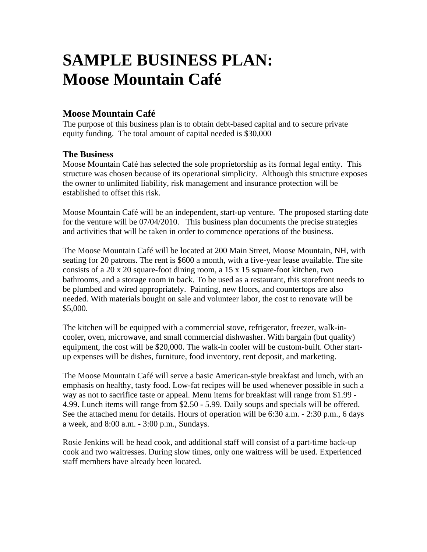# **SAMPLE BUSINESS PLAN: Moose Mountain Café**

## **Moose Mountain Café**

The purpose of this business plan is to obtain debt-based capital and to secure private equity funding. The total amount of capital needed is \$30,000

## **The Business**

Moose Mountain Café has selected the sole proprietorship as its formal legal entity. This structure was chosen because of its operational simplicity. Although this structure exposes the owner to unlimited liability, risk management and insurance protection will be established to offset this risk.

Moose Mountain Café will be an independent, start-up venture. The proposed starting date for the venture will be 07/04/2010. This business plan documents the precise strategies and activities that will be taken in order to commence operations of the business.

The Moose Mountain Café will be located at 200 Main Street, Moose Mountain, NH, with seating for 20 patrons. The rent is \$600 a month, with a five-year lease available. The site consists of a 20 x 20 square-foot dining room, a 15 x 15 square-foot kitchen, two bathrooms, and a storage room in back. To be used as a restaurant, this storefront needs to be plumbed and wired appropriately. Painting, new floors, and countertops are also needed. With materials bought on sale and volunteer labor, the cost to renovate will be \$5,000.

The kitchen will be equipped with a commercial stove, refrigerator, freezer, walk-incooler, oven, microwave, and small commercial dishwasher. With bargain (but quality) equipment, the cost will be \$20,000. The walk-in cooler will be custom-built. Other startup expenses will be dishes, furniture, food inventory, rent deposit, and marketing.

The Moose Mountain Café will serve a basic American-style breakfast and lunch, with an emphasis on healthy, tasty food. Low-fat recipes will be used whenever possible in such a way as not to sacrifice taste or appeal. Menu items for breakfast will range from \$1.99 - 4.99. Lunch items will range from \$2.50 - 5.99. Daily soups and specials will be offered. See the attached menu for details. Hours of operation will be 6:30 a.m. - 2:30 p.m., 6 days a week, and 8:00 a.m. - 3:00 p.m., Sundays.

Rosie Jenkins will be head cook, and additional staff will consist of a part-time back-up cook and two waitresses. During slow times, only one waitress will be used. Experienced staff members have already been located.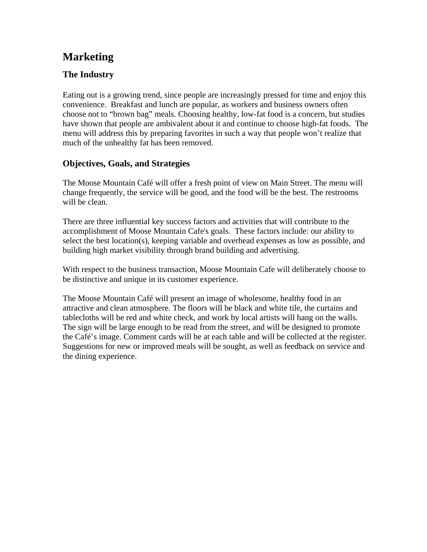## **Marketing**

## **The Industry**

Eating out is a growing trend, since people are increasingly pressed for time and enjoy this convenience. Breakfast and lunch are popular, as workers and business owners often choose not to "brown bag" meals. Choosing healthy, low-fat food is a concern, but studies have shown that people are ambivalent about it and continue to choose high-fat foods. The menu will address this by preparing favorites in such a way that people won't realize that much of the unhealthy fat has been removed.

## **Objectives, Goals, and Strategies**

The Moose Mountain Café will offer a fresh point of view on Main Street. The menu will change frequently, the service will be good, and the food will be the best. The restrooms will be clean.

There are three influential key success factors and activities that will contribute to the accomplishment of Moose Mountain Cafe's goals. These factors include: our ability to select the best location(s), keeping variable and overhead expenses as low as possible, and building high market visibility through brand building and advertising.

With respect to the business transaction, Moose Mountain Cafe will deliberately choose to be distinctive and unique in its customer experience.

The Moose Mountain Café will present an image of wholesome, healthy food in an attractive and clean atmosphere. The floors will be black and white tile, the curtains and tablecloths will be red and white check, and work by local artists will hang on the walls. The sign will be large enough to be read from the street, and will be designed to promote the Café's image. Comment cards will be at each table and will be collected at the register. Suggestions for new or improved meals will be sought, as well as feedback on service and the dining experience.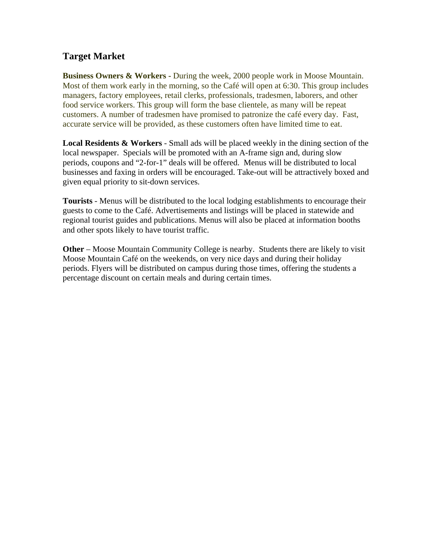## **Target Market**

**Business Owners & Workers - During the week, 2000 people work in Moose Mountain.** Most of them work early in the morning, so the Café will open at 6:30. This group includes managers, factory employees, retail clerks, professionals, tradesmen, laborers, and other food service workers. This group will form the base clientele, as many will be repeat customers. A number of tradesmen have promised to patronize the café every day. Fast, accurate service will be provided, as these customers often have limited time to eat.

**Local Residents & Workers** - Small ads will be placed weekly in the dining section of the local newspaper. Specials will be promoted with an A-frame sign and, during slow periods, coupons and "2-for-1" deals will be offered. Menus will be distributed to local businesses and faxing in orders will be encouraged. Take-out will be attractively boxed and given equal priority to sit-down services.

**Tourists** - Menus will be distributed to the local lodging establishments to encourage their guests to come to the Café. Advertisements and listings will be placed in statewide and regional tourist guides and publications. Menus will also be placed at information booths and other spots likely to have tourist traffic.

**Other** – Moose Mountain Community College is nearby. Students there are likely to visit Moose Mountain Café on the weekends, on very nice days and during their holiday periods. Flyers will be distributed on campus during those times, offering the students a percentage discount on certain meals and during certain times.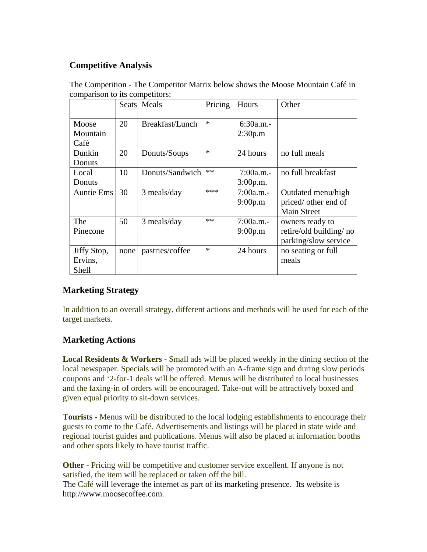## **Competitive Analysis**

| $\mathbf{S}$                    |      | Seats Meals     | Pricing | Hours                | Other                                                             |
|---------------------------------|------|-----------------|---------|----------------------|-------------------------------------------------------------------|
| Moose<br>Mountain<br>Café       | 20   | Breakfast/Lunch | $\ast$  | 6:30a.m.<br>2:30p.m  |                                                                   |
| Dunkin<br>Donuts                | 20   | Donuts/Soups    | $\ast$  | 24 hours             | no full meals                                                     |
| Local<br>Donuts                 | 10   | Donuts/Sandwich | $**$    | 7:00a.m.<br>3:00p.m. | no full breakfast                                                 |
| <b>Auntie Ems</b>               | 30   | 3 meals/day     | ***     | 7:00a.m.<br>9:00p.m  | Outdated menu/high<br>priced/ other end of<br><b>Main Street</b>  |
| The<br>Pinecone                 | 50   | 3 meals/day     | $**$    | 7:00a.m.-<br>9:00p.m | owners ready to<br>retire/old building/no<br>parking/slow service |
| Jiffy Stop,<br>Ervins,<br>Shell | none | pastries/coffee | $\ast$  | 24 hours             | no seating or full<br>meals                                       |

The Competition - The Competitor Matrix below shows the Moose Mountain Café in comparison to its competitors:

## **Marketing Strategy**

In addition to an overall strategy, different actions and methods will be used for each of the target markets.

## **Marketing Actions**

**Local Residents & Workers -** Small ads will be placed weekly in the dining section of the local newspaper. Specials will be promoted with an A-frame sign and during slow periods coupons and '2-for-1 deals will be offered. Menus will be distributed to local businesses and the faxing-in of orders will be encouraged. Take-out will be attractively boxed and given equal priority to sit-down services.

**Tourists -** Menus will be distributed to the local lodging establishments to encourage their guests to come to the Café. Advertisements and listings will be placed in state wide and regional tourist guides and publications. Menus will also be placed at information booths and other spots likely to have tourist traffic.

**Other -** Pricing will be competitive and customer service excellent. If anyone is not satisfied, the item will be replaced or taken off the bill.

The Café will leverage the internet as part of its marketing presence. Its website is http://www.moosecoffee.com.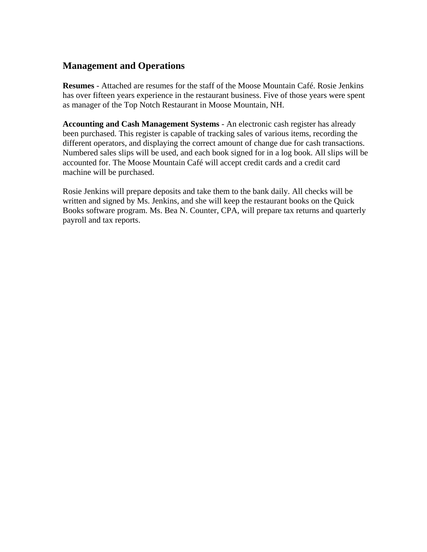## **Management and Operations**

**Resumes** - Attached are resumes for the staff of the Moose Mountain Café. Rosie Jenkins has over fifteen years experience in the restaurant business. Five of those years were spent as manager of the Top Notch Restaurant in Moose Mountain, NH.

**Accounting and Cash Management Systems** - An electronic cash register has already been purchased. This register is capable of tracking sales of various items, recording the different operators, and displaying the correct amount of change due for cash transactions. Numbered sales slips will be used, and each book signed for in a log book. All slips will be accounted for. The Moose Mountain Café will accept credit cards and a credit card machine will be purchased.

Rosie Jenkins will prepare deposits and take them to the bank daily. All checks will be written and signed by Ms. Jenkins, and she will keep the restaurant books on the Quick Books software program. Ms. Bea N. Counter, CPA, will prepare tax returns and quarterly payroll and tax reports.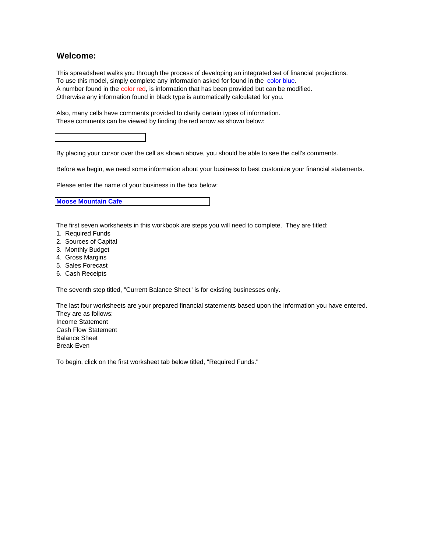### **Welcome:**

This spreadsheet walks you through the process of developing an integrated set of financial projections. To use this model, simply complete any information asked for found in the color blue. A number found in the color red, is information that has been provided but can be modified. Otherwise any information found in black type is automatically calculated for you.

Also, many cells have comments provided to clarify certain types of information. These comments can be viewed by finding the red arrow as shown below:

By placing your cursor over the cell as shown above, you should be able to see the cell's comments.

Before we begin, we need some information about your business to best customize your financial statements.

Please enter the name of your business in the box below:

**Moose Mountain Cafe**

The first seven worksheets in this workbook are steps you will need to complete. They are titled:

- 1. Required Funds
- 2. Sources of Capital
- 3. Monthly Budget
- 4. Gross Margins
- 5. Sales Forecast
- 6. Cash Receipts

The seventh step titled, "Current Balance Sheet" is for existing businesses only.

The last four worksheets are your prepared financial statements based upon the information you have entered. They are as follows: Income Statement Cash Flow Statement Balance Sheet Break-Even

To begin, click on the first worksheet tab below titled, "Required Funds."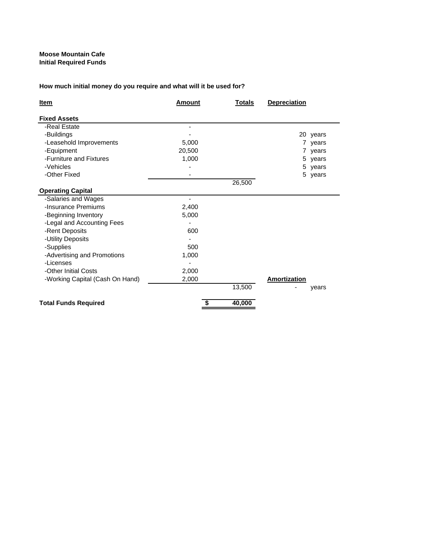### **Moose Mountain Cafe Initial Required Funds**

## **How much initial money do you require and what will it be used for?**

| <u>Item</u>                     | <u>Amount</u>  | <u>Totals</u> | <b>Depreciation</b> |          |
|---------------------------------|----------------|---------------|---------------------|----------|
| <b>Fixed Assets</b>             |                |               |                     |          |
| -Real Estate                    |                |               |                     |          |
| -Buildings                      |                |               |                     | 20 years |
| -Leasehold Improvements         | 5,000          |               |                     | 7 years  |
| -Equipment                      | 20,500         |               |                     | 7 years  |
| -Furniture and Fixtures         | 1,000          |               | 5                   | years    |
| -Vehicles                       |                |               | 5                   | years    |
| -Other Fixed                    |                |               |                     | 5 years  |
|                                 |                | 26,500        |                     |          |
| <b>Operating Capital</b>        |                |               |                     |          |
| -Salaries and Wages             | $\blacksquare$ |               |                     |          |
| -Insurance Premiums             | 2,400          |               |                     |          |
| -Beginning Inventory            | 5,000          |               |                     |          |
| -Legal and Accounting Fees      |                |               |                     |          |
| -Rent Deposits                  | 600            |               |                     |          |
| -Utility Deposits               |                |               |                     |          |
| -Supplies                       | 500            |               |                     |          |
| -Advertising and Promotions     | 1,000          |               |                     |          |
| -Licenses                       |                |               |                     |          |
| -Other Initial Costs            | 2,000          |               |                     |          |
| -Working Capital (Cash On Hand) | 2,000          |               | Amortization        |          |
|                                 |                | 13,500        |                     | years    |
| <b>Total Funds Required</b>     |                | 40,000<br>\$  |                     |          |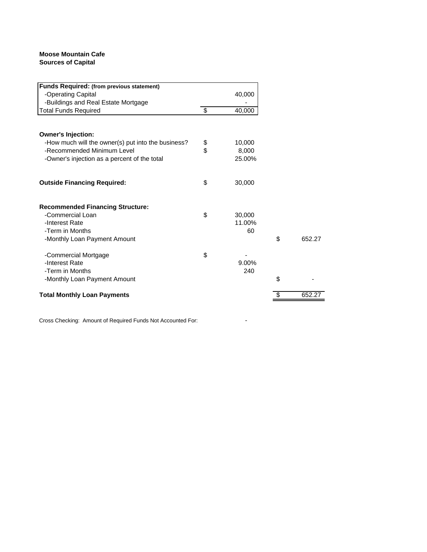### **Moose Mountain Cafe Sources of Capital**

| -Operating Capital<br>-Buildings and Real Estate Mortgage | $\overline{\$}$ | 40,000 |              |
|-----------------------------------------------------------|-----------------|--------|--------------|
|                                                           |                 |        |              |
|                                                           |                 |        |              |
| <b>Total Funds Required</b>                               |                 | 40,000 |              |
|                                                           |                 |        |              |
| <b>Owner's Injection:</b>                                 |                 |        |              |
| -How much will the owner(s) put into the business?        | \$              | 10,000 |              |
| -Recommended Minimum Level                                | \$              | 8,000  |              |
| -Owner's injection as a percent of the total              |                 | 25.00% |              |
|                                                           |                 |        |              |
| <b>Outside Financing Required:</b>                        | \$              | 30,000 |              |
| <b>Recommended Financing Structure:</b>                   |                 |        |              |
| -Commercial Loan                                          | \$              | 30,000 |              |
| -Interest Rate                                            |                 | 11.00% |              |
| -Term in Months                                           |                 | 60     |              |
| -Monthly Loan Payment Amount                              |                 |        | \$<br>652.27 |
| -Commercial Mortgage                                      | \$              |        |              |
| -Interest Rate                                            |                 | 9.00%  |              |
| -Term in Months                                           |                 | 240    |              |
| -Monthly Loan Payment Amount                              |                 |        | \$           |
| <b>Total Monthly Loan Payments</b>                        |                 |        | \$<br>652.27 |

Cross Checking: Amount of Required Funds Not Accounted For: -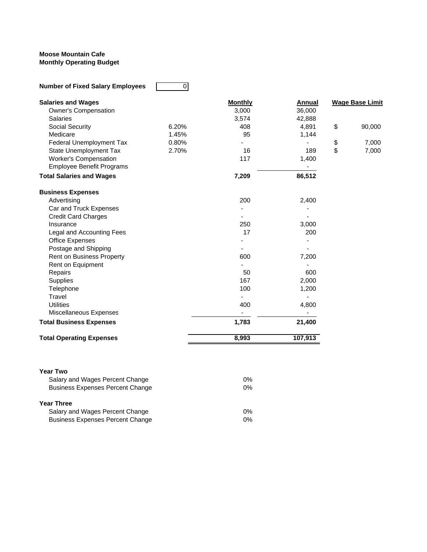### **Moose Mountain Cafe Monthly Operating Budget**

| <b>Number of Fixed Salary Employees</b> | $\overline{O}$ |                          |                |                        |
|-----------------------------------------|----------------|--------------------------|----------------|------------------------|
| <b>Salaries and Wages</b>               |                | <b>Monthly</b>           | <b>Annual</b>  | <b>Wage Base Limit</b> |
| <b>Owner's Compensation</b>             |                | 3,000                    | 36,000         |                        |
| <b>Salaries</b>                         |                | 3,574                    | 42,888         |                        |
| Social Security                         | 6.20%          | 408                      | 4,891          | \$<br>90,000           |
| Medicare                                | 1.45%          | 95                       | 1,144          |                        |
| Federal Unemployment Tax                | 0.80%          |                          |                | \$<br>7,000            |
| State Unemployment Tax                  | 2.70%          | 16                       | 189            | \$<br>7,000            |
| Worker's Compensation                   |                | 117                      | 1,400          |                        |
| <b>Employee Benefit Programs</b>        |                |                          | ۰.             |                        |
| <b>Total Salaries and Wages</b>         |                | 7,209                    | 86,512         |                        |
| <b>Business Expenses</b>                |                |                          |                |                        |
| Advertising                             |                | 200                      | 2,400          |                        |
| Car and Truck Expenses                  |                |                          |                |                        |
| <b>Credit Card Charges</b>              |                |                          |                |                        |
| Insurance                               |                | 250                      | 3,000          |                        |
| Legal and Accounting Fees               |                | 17                       | 200            |                        |
| <b>Office Expenses</b>                  |                |                          |                |                        |
| Postage and Shipping                    |                |                          |                |                        |
| Rent on Business Property               |                | 600                      | 7,200          |                        |
| Rent on Equipment                       |                |                          |                |                        |
| Repairs                                 |                | 50                       | 600            |                        |
| <b>Supplies</b>                         |                | 167                      | 2,000          |                        |
| Telephone                               |                | 100                      | 1,200          |                        |
| Travel                                  |                |                          |                |                        |
| <b>Utilities</b>                        |                | 400                      | 4,800          |                        |
| Miscellaneous Expenses                  |                | $\overline{\phantom{a}}$ | $\blacksquare$ |                        |
| <b>Total Business Expenses</b>          |                | 1,783                    | 21,400         |                        |
| <b>Total Operating Expenses</b>         |                | 8,993                    | 107,913        |                        |

| <b>Year Two</b>                         |       |
|-----------------------------------------|-------|
| Salary and Wages Percent Change         | $0\%$ |
| <b>Business Expenses Percent Change</b> | $0\%$ |
| <b>Year Three</b>                       |       |
| Salary and Wages Percent Change         | $0\%$ |
| <b>Business Expenses Percent Change</b> | $0\%$ |

 $\sim$ 

 $\overline{\phantom{0}}$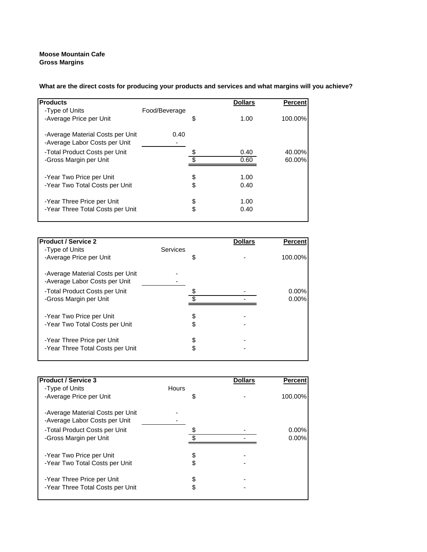### **Moose Mountain Cafe Gross Margins**

## **What are the direct costs for producing your products and services and what margins will you achieve?**

| <b>Products</b>                                                   |               | <b>Dollars</b> | <b>Percent</b> |
|-------------------------------------------------------------------|---------------|----------------|----------------|
| -Type of Units                                                    | Food/Beverage |                |                |
| -Average Price per Unit                                           |               | \$<br>1.00     | 100.00%        |
| -Average Material Costs per Unit<br>-Average Labor Costs per Unit | 0.40          |                |                |
| -Total Product Costs per Unit                                     |               | 0.40           | 40.00%         |
| -Gross Margin per Unit                                            |               | 0.60           | 60.00%         |
| -Year Two Price per Unit                                          |               | \$<br>1.00     |                |
| -Year Two Total Costs per Unit                                    |               | \$<br>0.40     |                |
| -Year Three Price per Unit                                        |               | \$<br>1.00     |                |
| -Year Three Total Costs per Unit                                  |               | \$<br>0.40     |                |
|                                                                   |               |                |                |

| <b>Product / Service 2</b>                                        |          |    | <b>Dollars</b> | <b>Percent</b> |
|-------------------------------------------------------------------|----------|----|----------------|----------------|
| -Type of Units                                                    | Services |    |                |                |
| -Average Price per Unit                                           |          | S  |                | 100.00%        |
| -Average Material Costs per Unit<br>-Average Labor Costs per Unit |          |    |                |                |
| -Total Product Costs per Unit                                     |          |    |                | $0.00\%$       |
| -Gross Margin per Unit                                            |          |    |                | $0.00\%$       |
| -Year Two Price per Unit                                          |          | \$ |                |                |
| -Year Two Total Costs per Unit                                    |          | S  |                |                |
| -Year Three Price per Unit                                        |          | \$ |                |                |
| -Year Three Total Costs per Unit                                  |          |    |                |                |
|                                                                   |          |    |                |                |

| <b>Product / Service 3</b>       |       | <b>Dollars</b> | <b>Percent</b> |
|----------------------------------|-------|----------------|----------------|
| -Type of Units                   | Hours |                |                |
| -Average Price per Unit          | S     |                | 100.00%        |
| -Average Material Costs per Unit |       |                |                |
| -Average Labor Costs per Unit    |       |                |                |
| -Total Product Costs per Unit    |       |                | 0.00%          |
| -Gross Margin per Unit           | ደ     |                | 0.00%          |
| -Year Two Price per Unit         | S     |                |                |
| -Year Two Total Costs per Unit   | \$    |                |                |
| -Year Three Price per Unit       |       |                |                |
| -Year Three Total Costs per Unit | \$    |                |                |
|                                  |       |                |                |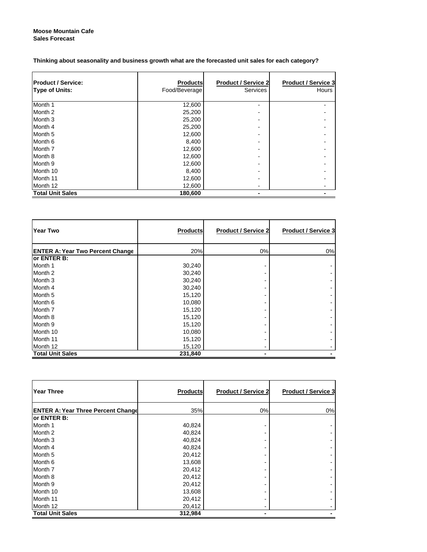**Thinking about seasonality and business growth what are the forecasted unit sales for each category?**

| <b>Product / Service:</b><br><b>Type of Units:</b> | <b>Products</b><br>Food/Beverage | <b>Product / Service 2</b><br>Services | <b>Product / Service 3</b><br>Hours |
|----------------------------------------------------|----------------------------------|----------------------------------------|-------------------------------------|
| Month 1                                            | 12,600                           |                                        |                                     |
| Month 2                                            | 25,200                           |                                        |                                     |
| Month 3                                            | 25,200                           |                                        |                                     |
| Month 4                                            | 25,200                           |                                        |                                     |
| Month 5                                            | 12,600                           |                                        |                                     |
| Month 6                                            | 8,400                            |                                        |                                     |
| Month 7                                            | 12,600                           |                                        |                                     |
| Month 8                                            | 12,600                           |                                        |                                     |
| Month 9                                            | 12,600                           |                                        |                                     |
| Month 10                                           | 8,400                            |                                        |                                     |
| Month 11                                           | 12,600                           |                                        |                                     |
| Month 12                                           | 12,600                           |                                        |                                     |
| <b>Total Unit Sales</b>                            | 180,600                          |                                        |                                     |

| <b>Year Two</b>                         | <b>Products</b> | <b>Product / Service 2</b> | <b>Product / Service 3</b> |
|-----------------------------------------|-----------------|----------------------------|----------------------------|
| <b>ENTER A: Year Two Percent Change</b> | 20%             | $0\%$                      | 0%                         |
| or ENTER B:                             |                 |                            |                            |
| Month 1                                 | 30,240          |                            |                            |
| Month 2                                 | 30,240          |                            |                            |
| Month 3                                 | 30,240          |                            |                            |
| Month 4                                 | 30,240          |                            |                            |
| Month 5                                 | 15,120          |                            |                            |
| Month 6                                 | 10,080          |                            |                            |
| Month 7                                 | 15,120          |                            |                            |
| Month 8                                 | 15,120          |                            |                            |
| Month 9                                 | 15,120          |                            |                            |
| Month 10                                | 10,080          |                            |                            |
| Month 11                                | 15,120          |                            |                            |
| Month 12                                | 15,120          |                            |                            |
| <b>Total Unit Sales</b>                 | 231,840         |                            |                            |

| <b>Year Three</b>                         | <b>Products</b> | <b>Product / Service 2</b> | <b>Product / Service 3</b> |
|-------------------------------------------|-----------------|----------------------------|----------------------------|
| <b>ENTER A: Year Three Percent Change</b> | 35%             | 0%                         | 0%                         |
| or ENTER B:                               |                 |                            |                            |
| Month 1                                   | 40,824          |                            |                            |
| Month 2                                   | 40,824          |                            |                            |
| Month 3                                   | 40,824          |                            |                            |
| Month 4                                   | 40,824          |                            |                            |
| Month 5                                   | 20,412          |                            |                            |
| Month 6                                   | 13,608          |                            |                            |
| Month 7                                   | 20,412          |                            |                            |
| Month 8                                   | 20,412          |                            |                            |
| Month 9                                   | 20,412          |                            |                            |
| Month 10                                  | 13,608          |                            |                            |
| Month 11                                  | 20,412          |                            |                            |
| Month 12                                  | 20,412          |                            |                            |
| <b>Total Unit Sales</b>                   | 312,984         |                            |                            |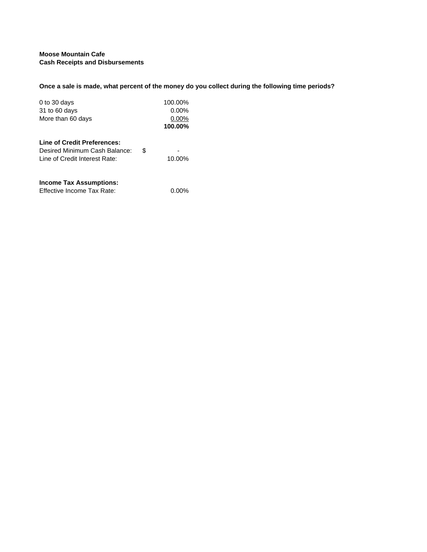### **Moose Mountain Cafe Cash Receipts and Disbursements**

## **Once a sale is made, what percent of the money do you collect during the following time periods?**

| 0 to 30 days                  |   | 100.00%  |
|-------------------------------|---|----------|
| 31 to 60 days                 |   | $0.00\%$ |
| More than 60 days             |   | $0.00\%$ |
|                               |   | 100.00%  |
| Line of Credit Preferences:   |   |          |
| Desired Minimum Cash Balance: | S |          |
| Line of Credit Interest Rate: |   | 10.00%   |
|                               |   |          |
|                               |   |          |

| <b>Income Tax Assumptions:</b> |          |
|--------------------------------|----------|
| Effective Income Tax Rate:     | $0.00\%$ |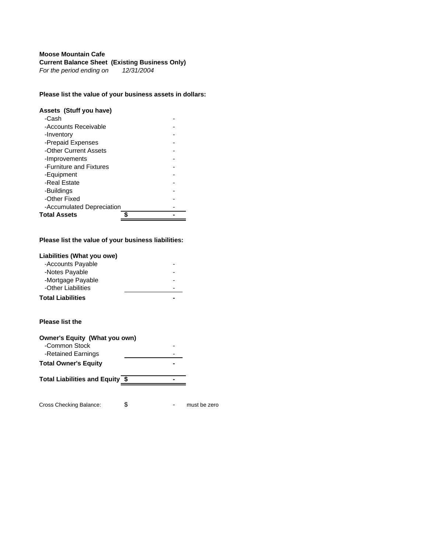### **Moose Mountain Cafe Current Balance Sheet (Existing Business Only)** *For the period ending on 12/31/2004*

### **Please list the value of your business assets in dollars:**

| Assets (Stuff you have)   |  |
|---------------------------|--|
| -Cash                     |  |
| -Accounts Receivable      |  |
| -Inventory                |  |
| -Prepaid Expenses         |  |
| -Other Current Assets     |  |
| -Improvements             |  |
| -Furniture and Fixtures   |  |
| -Equipment                |  |
| -Real Estate              |  |
| -Buildings                |  |
| -Other Fixed              |  |
| -Accumulated Depreciation |  |
| <b>Total Assets</b>       |  |

### **Please list the value of your business liabilities:**

 $\overline{a}$ 

| Liabilities (What you owe) |  |
|----------------------------|--|
| -Accounts Payable          |  |
| -Notes Payable             |  |
| -Mortgage Payable          |  |
| -Other Liabilities         |  |
| <b>Total Liabilities</b>   |  |

### **Please list the**

| Owner's Equity (What you own)       |      |  |
|-------------------------------------|------|--|
| -Common Stock                       |      |  |
| -Retained Earnings                  |      |  |
| <b>Total Owner's Equity</b>         |      |  |
| <b>Total Liabilities and Equity</b> | - \$ |  |

Cross Checking Balance: \$ - must be zero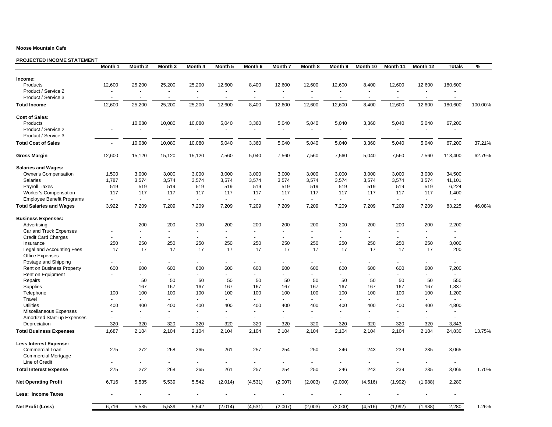#### **PROJECTED INCOME STATEMENT**

|                                              | Month 1              | Month 2              | Month 3                  | Month 4              | Month 5                  | Month 6                  | Month 7 | Month 8                  | Month 9 | Month 10                 | Month 11       | Month 12             | <b>Totals</b>  | %       |
|----------------------------------------------|----------------------|----------------------|--------------------------|----------------------|--------------------------|--------------------------|---------|--------------------------|---------|--------------------------|----------------|----------------------|----------------|---------|
| Income:                                      |                      |                      |                          |                      |                          |                          |         |                          |         |                          |                |                      |                |         |
| Products                                     | 12,600               | 25,200               | 25,200                   | 25,200               | 12,600                   | 8,400                    | 12,600  | 12,600                   | 12,600  | 8,400                    | 12,600         | 12,600               | 180,600        |         |
| Product / Service 2                          | $\sim$               | ÷.                   | $\sim$                   | $\ddot{\phantom{1}}$ | $\sim$                   | $\sim$                   | $\sim$  |                          | $\sim$  | $\blacksquare$           | $\sim$         | ÷,                   | $\blacksquare$ |         |
| Product / Service 3                          |                      |                      |                          |                      |                          |                          |         |                          |         |                          |                |                      |                |         |
| <b>Total Income</b>                          | 12,600               | 25,200               | 25,200                   | 25,200               | 12,600                   | 8,400                    | 12,600  | 12,600                   | 12,600  | 8,400                    | 12,600         | 12,600               | 180,600        | 100.00% |
| <b>Cost of Sales:</b>                        |                      |                      |                          |                      |                          |                          |         |                          |         |                          |                |                      |                |         |
| Products                                     |                      | 10,080               | 10,080                   | 10,080               | 5,040                    | 3,360                    | 5,040   | 5,040                    | 5,040   | 3,360                    | 5,040          | 5,040                | 67,200         |         |
| Product / Service 2                          |                      |                      |                          |                      |                          |                          |         |                          |         | $\blacksquare$           |                | ä,                   | ٠              |         |
| Product / Service 3                          |                      | $\sim$               | $\overline{\phantom{a}}$ | $\blacksquare$       | $\overline{\phantom{a}}$ | $\overline{\phantom{a}}$ | $\sim$  | $\overline{\phantom{a}}$ | $\sim$  | $\overline{\phantom{a}}$ | $\blacksquare$ | $\blacksquare$       | $\sim$         |         |
| <b>Total Cost of Sales</b>                   |                      | 10,080               | 10,080                   | 10,080               | 5,040                    | 3,360                    | 5,040   | 5,040                    | 5,040   | 3,360                    | 5,040          | 5,040                | 67,200         | 37.21%  |
| <b>Gross Margin</b>                          | 12,600               | 15,120               | 15,120                   | 15,120               | 7,560                    | 5,040                    | 7,560   | 7,560                    | 7,560   | 5,040                    | 7,560          | 7,560                | 113,400        | 62.79%  |
| <b>Salaries and Wages:</b>                   |                      |                      |                          |                      |                          |                          |         |                          |         |                          |                |                      |                |         |
| <b>Owner's Compensation</b>                  | 1,500                | 3,000                | 3,000                    | 3,000                | 3,000                    | 3,000                    | 3,000   | 3,000                    | 3,000   | 3,000                    | 3,000          | 3,000                | 34,500         |         |
| Salaries                                     | 1,787                | 3,574                | 3,574                    | 3,574                | 3,574                    | 3,574                    | 3,574   | 3,574                    | 3,574   | 3,574                    | 3,574          | 3,574                | 41,101         |         |
| Payroll Taxes                                | 519                  | 519                  | 519                      | 519                  | 519                      | 519                      | 519     | 519                      | 519     | 519                      | 519            | 519                  | 6,224          |         |
| Worker's Compensation                        | 117                  | 117                  | 117                      | 117                  | 117                      | 117                      | 117     | 117                      | 117     | 117                      | 117            | 117                  | 1,400          |         |
| <b>Employee Benefit Programs</b>             | $\ddot{\phantom{a}}$ |                      |                          |                      | $\sim$                   |                          |         |                          | $\sim$  |                          |                | $\blacksquare$       | $\sim$         |         |
| <b>Total Salaries and Wages</b>              | 3,922                | 7,209                | 7,209                    | 7,209                | 7,209                    | 7,209                    | 7,209   | 7,209                    | 7,209   | 7,209                    | 7,209          | 7,209                | 83,225         | 46.08%  |
| <b>Business Expenses:</b>                    |                      |                      |                          |                      |                          |                          |         |                          |         |                          |                |                      |                |         |
| Advertising                                  |                      | 200                  | 200                      | 200                  | 200                      | 200                      | 200     | 200                      | 200     | 200                      | 200            | 200                  | 2,200          |         |
| Car and Truck Expenses                       |                      | ä,                   |                          |                      | $\sim$                   |                          |         |                          | $\sim$  | $\sim$                   | $\blacksquare$ | ä,                   | ä,             |         |
| <b>Credit Card Charges</b>                   | ÷                    | $\sim$               | $\sim$                   | $\overline{a}$       | $\sim$                   | ÷.                       | $\sim$  |                          | $\sim$  | $\overline{\phantom{a}}$ | $\sim$         | ÷                    | $\sim$         |         |
| Insurance                                    | 250                  | 250                  | 250                      | 250                  | 250                      | 250                      | 250     | 250                      | 250     | 250                      | 250            | 250                  | 3,000          |         |
| Legal and Accounting Fees                    | 17                   | 17                   | 17                       | 17                   | 17                       | 17                       | 17      | 17                       | 17      | 17                       | 17             | 17                   | 200            |         |
| <b>Office Expenses</b>                       | $\blacksquare$       | ٠                    | ٠                        | $\blacksquare$       | ÷.                       | $\sim$                   | ÷.      |                          | $\sim$  | $\blacksquare$           | $\blacksquare$ | $\blacksquare$       | $\blacksquare$ |         |
| Postage and Shipping                         |                      |                      |                          |                      |                          |                          |         |                          |         |                          |                |                      |                |         |
| Rent on Business Property                    | 600                  | 600                  | 600                      | 600                  | 600                      | 600                      | 600     | 600                      | 600     | 600                      | 600            | 600                  | 7,200          |         |
| Rent on Equipment                            | $\blacksquare$       | $\overline{a}$       | ä,                       | $\overline{a}$       | $\blacksquare$           | $\sim$                   | $\sim$  | ÷                        | $\sim$  | $\overline{\phantom{a}}$ | $\sim$         | $\blacksquare$       | $\mathbf{r}$   |         |
|                                              |                      |                      |                          | 50                   | 50                       | 50                       |         | 50                       | 50      |                          |                |                      |                |         |
| Repairs                                      |                      | 50                   | 50                       | 167                  | 167                      | 167                      | 50      |                          |         | 50                       | 50             | 50                   | 550            |         |
| Supplies                                     |                      | 167                  | 167                      |                      |                          |                          | 167     | 167                      | 167     | 167                      | 167            | 167                  | 1,837          |         |
| Telephone                                    | 100                  | 100                  | 100                      | 100                  | 100                      | 100                      | 100     | 100                      | 100     | 100                      | 100            | 100                  | 1,200          |         |
| Travel                                       | $\blacksquare$       | ٠                    | $\overline{\phantom{a}}$ | $\blacksquare$       | $\sim$                   | $\overline{\phantom{a}}$ | $\sim$  |                          | $\sim$  | $\blacksquare$           | $\sim$         |                      | $\blacksquare$ |         |
| <b>Utilities</b>                             | 400                  | 400                  | 400                      | 400                  | 400                      | 400                      | 400     | 400                      | 400     | 400                      | 400            | 400                  | 4,800          |         |
| Miscellaneous Expenses                       |                      |                      |                          |                      | $\sim$                   |                          |         |                          |         | $\sim$                   |                | ÷,                   | ä,             |         |
| <b>Amortized Start-up Expenses</b>           | ÷                    | $\ddot{\phantom{1}}$ | $\overline{a}$           |                      | $\overline{\phantom{a}}$ |                          | $\sim$  |                          | $\sim$  | $\overline{a}$           | $\sim$         | $\ddot{\phantom{1}}$ | ä,             |         |
| Depreciation                                 | 320                  | 320                  | 320                      | 320                  | 320                      | 320                      | 320     | 320                      | 320     | 320                      | 320            | 320                  | 3,843          |         |
| <b>Total Business Expenses</b>               | 1,687                | 2,104                | 2,104                    | 2,104                | 2,104                    | 2,104                    | 2,104   | 2,104                    | 2,104   | 2,104                    | 2,104          | 2,104                | 24,830         | 13.75%  |
| <b>Less Interest Expense:</b>                |                      |                      |                          |                      |                          |                          |         |                          |         |                          |                |                      |                |         |
| Commercial Loan                              | 275                  | 272                  | 268                      | 265                  | 261                      | 257                      | 254     | 250                      | 246     | 243                      | 239            | 235                  | 3,065          |         |
| <b>Commercial Mortgage</b><br>Line of Credit | $\ddot{\phantom{1}}$ | $\ddot{\phantom{1}}$ | $\sim$                   | $\overline{a}$       | $\sim$                   | $\sim$                   |         |                          |         |                          |                | $\ddot{\phantom{1}}$ |                |         |
| <b>Total Interest Expense</b>                | 275                  | 272                  | 268                      | 265                  | 261                      | 257                      | 254     | 250                      | 246     | 243                      | 239            | 235                  | 3,065          | 1.70%   |
| <b>Net Operating Profit</b>                  | 6,716                | 5,535                | 5,539                    | 5,542                | (2,014)                  | (4,531)                  | (2,007) | (2,003)                  | (2,000) | (4, 516)                 | (1,992)        | (1,988)              | 2,280          |         |
| Less: Income Taxes                           |                      |                      |                          |                      |                          |                          |         |                          |         |                          |                |                      |                |         |
| <b>Net Profit (Loss)</b>                     | 6.716                | 5,535                | 5,539                    | 5,542                | (2,014)                  | (4,531)                  | (2,007) | (2,003)                  | (2,000) | (4, 516)                 | (1,992)        | (1,988)              | 2,280          | 1.26%   |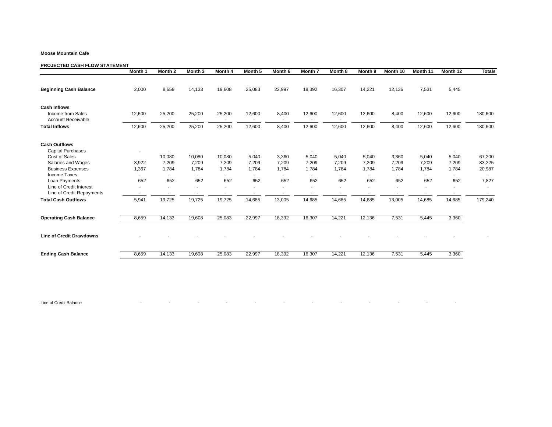**PROJECTED CASH FLOW STATEMENT**

|                                                | Month 1                  | Month 2                            | Month 3 | Month 4 | Month 5 | Month 6                           | Month 7 | Month 8 | Month 9 | Month 10     | Month 11 | Month 12 | Totals  |
|------------------------------------------------|--------------------------|------------------------------------|---------|---------|---------|-----------------------------------|---------|---------|---------|--------------|----------|----------|---------|
| <b>Beginning Cash Balance</b>                  | 2,000                    | 8,659                              | 14,133  | 19,608  | 25,083  | 22,997                            | 18,392  | 16,307  | 14,221  | 12,136       | 7,531    | 5,445    |         |
| <b>Cash Inflows</b>                            |                          |                                    |         |         |         |                                   |         |         |         |              |          |          |         |
| Income from Sales<br><b>Account Receivable</b> | 12,600                   | 25,200<br>$\overline{\phantom{a}}$ | 25,200  | 25,200  | 12,600  | 8,400<br>$\overline{\phantom{a}}$ | 12,600  | 12,600  | 12,600  | 8,400        | 12,600   | 12,600   | 180,600 |
| <b>Total Inflows</b>                           | 12,600                   | 25,200                             | 25,200  | 25,200  | 12,600  | 8,400                             | 12,600  | 12,600  | 12,600  | 8,400        | 12,600   | 12,600   | 180,600 |
| <b>Cash Outflows</b>                           |                          |                                    |         |         |         |                                   |         |         |         |              |          |          |         |
| <b>Capital Purchases</b>                       |                          |                                    |         |         |         |                                   |         |         |         |              |          |          |         |
| Cost of Sales                                  |                          | 10,080                             | 10,080  | 10,080  | 5,040   | 3,360                             | 5,040   | 5,040   | 5,040   | 3,360        | 5,040    | 5,040    | 67,200  |
| Salaries and Wages                             | 3,922                    | 7,209                              | 7,209   | 7,209   | 7,209   | 7,209                             | 7,209   | 7,209   | 7,209   | 7,209        | 7,209    | 7,209    | 83,225  |
| <b>Business Expenses</b>                       | 1,367                    | 1,784                              | 1,784   | 1,784   | 1,784   | 1,784                             | 1,784   | 1,784   | 1,784   | 1,784        | 1,784    | 1,784    | 20,987  |
| <b>Income Taxes</b>                            |                          | $\sim$                             |         |         | ٠       | $\mathbf{r}$                      |         |         |         | $\mathbf{r}$ |          |          |         |
| Loan Payments                                  | 652                      | 652                                | 652     | 652     | 652     | 652                               | 652     | 652     | 652     | 652          | 652      | 652      | 7,827   |
| Line of Credit Interest                        |                          |                                    |         |         |         |                                   |         |         |         |              |          |          |         |
| Line of Credit Repayments                      | $\overline{\phantom{a}}$ | $\overline{\phantom{a}}$           |         |         |         | $\overline{\phantom{a}}$          |         |         |         |              |          | $\sim$   |         |
| <b>Total Cash Outflows</b>                     | 5,941                    | 19,725                             | 19,725  | 19,725  | 14,685  | 13,005                            | 14,685  | 14,685  | 14,685  | 13,005       | 14,685   | 14,685   | 179,240 |
| <b>Operating Cash Balance</b>                  | 8,659                    | 14,133                             | 19.608  | 25,083  | 22,997  | 18,392                            | 16,307  | 14,221  | 12,136  | 7,531        | 5,445    | 3,360    |         |
|                                                |                          |                                    |         |         |         |                                   |         |         |         |              |          |          |         |
| <b>Line of Credit Drawdowns</b>                |                          |                                    |         |         |         |                                   |         |         |         |              |          |          |         |
| <b>Ending Cash Balance</b>                     | 8,659                    | 14,133                             | 19,608  | 25,083  | 22,997  | 18,392                            | 16,307  | 14,221  | 12,136  | 7,531        | 5,445    | 3,360    |         |
|                                                |                          |                                    |         |         |         |                                   |         |         |         |              |          |          |         |

Line of Credit Balance and the control of the control of the control of the control of the control of the control of the control of the control of the control of the control of the control of the control of the control of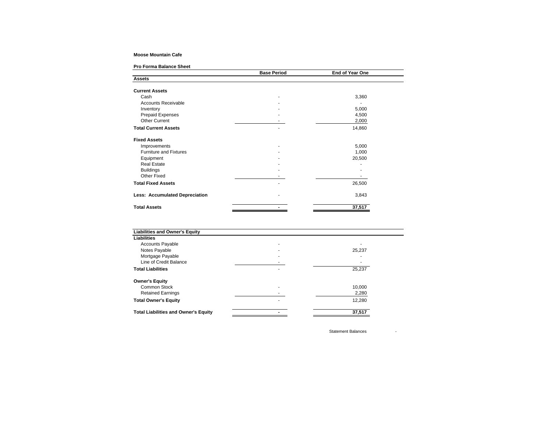**Pro Forma Balance Sheet**

|                                | <b>Base Period</b>       | <b>End of Year One</b> |
|--------------------------------|--------------------------|------------------------|
| <b>Assets</b>                  |                          |                        |
| <b>Current Assets</b>          |                          |                        |
| Cash                           | $\overline{\phantom{a}}$ | 3,360                  |
| <b>Accounts Receivable</b>     |                          |                        |
| Inventory                      |                          | 5,000                  |
| <b>Prepaid Expenses</b>        |                          | 4,500                  |
| <b>Other Current</b>           | ۰                        | 2,000                  |
| <b>Total Current Assets</b>    | ä,                       | 14,860                 |
| <b>Fixed Assets</b>            |                          |                        |
| Improvements                   | $\overline{\phantom{a}}$ | 5,000                  |
| <b>Furniture and Fixtures</b>  |                          | 1,000                  |
| Equipment                      |                          | 20,500                 |
| <b>Real Estate</b>             |                          |                        |
| <b>Buildings</b>               |                          |                        |
| Other Fixed                    |                          |                        |
| <b>Total Fixed Assets</b>      |                          | 26,500                 |
| Less: Accumulated Depreciation |                          | 3,843                  |
| <b>Total Assets</b>            |                          | 37,517                 |

| <b>Liabilities and Owner's Equity</b>       |   |        |
|---------------------------------------------|---|--------|
| <b>Liabilities</b>                          |   |        |
| <b>Accounts Payable</b>                     |   |        |
| Notes Payable                               | ۰ | 25,237 |
| Mortgage Payable                            | ۰ |        |
| Line of Credit Balance                      |   |        |
| <b>Total Liabilities</b>                    |   | 25,237 |
| <b>Owner's Equity</b>                       |   |        |
| Common Stock                                | ۰ | 10.000 |
| <b>Retained Earnings</b>                    |   | 2,280  |
| <b>Total Owner's Equity</b>                 |   | 12,280 |
| <b>Total Liabilities and Owner's Equity</b> |   | 37,517 |

Statement Balances **-**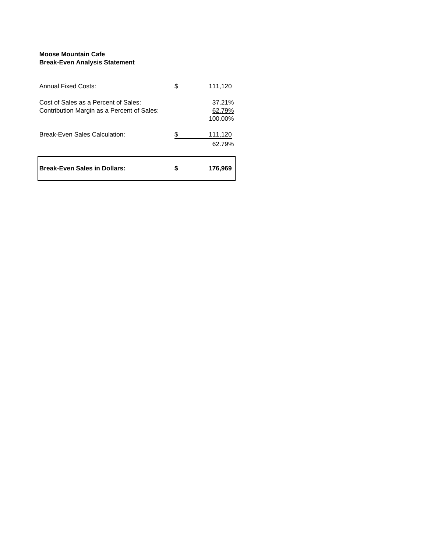### **Moose Mountain Cafe Break-Even Analysis Statement**

| <b>Break-Even Sales in Dollars:</b>        | S  | 176,969 |
|--------------------------------------------|----|---------|
|                                            |    | 62.79%  |
| Break-Even Sales Calculation:              | \$ | 111,120 |
|                                            |    | 100.00% |
| Contribution Margin as a Percent of Sales: |    | 62.79%  |
| Cost of Sales as a Percent of Sales:       |    | 37.21%  |
| <b>Annual Fixed Costs:</b>                 | \$ | 111,120 |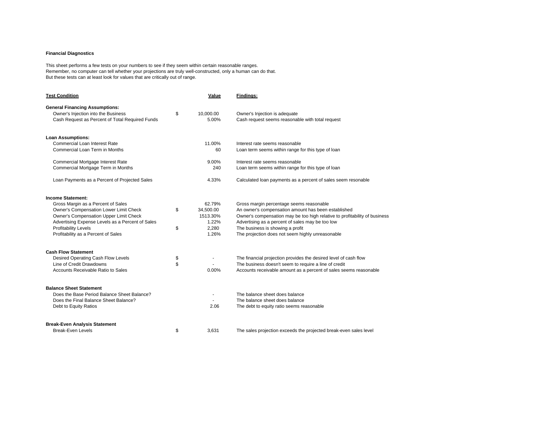#### **Financial Diagnostics**

This sheet performs a few tests on your numbers to see if they seem within certain reasonable ranges. Remember, no computer can tell whether your projections are truly well-constructed, only a human can do that. But these tests can at least look for values that are critically out of range.

| <b>Test Condition</b>                            | Value           | Findings:                                                                  |
|--------------------------------------------------|-----------------|----------------------------------------------------------------------------|
| <b>General Financing Assumptions:</b>            |                 |                                                                            |
| Owner's Injection into the Business              | \$<br>10,000.00 | Owner's Injection is adequate                                              |
| Cash Request as Percent of Total Required Funds  | 5.00%           | Cash request seems reasonable with total request                           |
| <b>Loan Assumptions:</b>                         |                 |                                                                            |
| <b>Commercial Loan Interest Rate</b>             | 11.00%          | Interest rate seems reasonable                                             |
| Commercial Loan Term in Months                   | 60              | Loan term seems within range for this type of loan                         |
| Commercial Mortgage Interest Rate                | 9.00%           | Interest rate seems reasonable                                             |
| Commercial Mortgage Term in Months               | 240             | Loan term seems within range for this type of loan                         |
| Loan Payments as a Percent of Projected Sales    | 4.33%           | Calculated loan payments as a percent of sales seem resonable              |
| <b>Income Statement:</b>                         |                 |                                                                            |
| Gross Margin as a Percent of Sales               | 62.79%          | Gross margin percentage seems reasonable                                   |
| Owner's Compensation Lower Limit Check           | \$<br>34,500.00 | An owner's compensation amount has been established                        |
| Owner's Compensation Upper Limit Check           | 1513.30%        | Owner's compensation may be too high relative to profitability of business |
| Advertising Expense Levels as a Percent of Sales | 1.22%           | Advertising as a percent of sales may be too low                           |
| <b>Profitability Levels</b>                      | \$<br>2,280     | The business is showing a profit                                           |
| Profitability as a Percent of Sales              | 1.26%           | The projection does not seem highly unreasonable                           |
| <b>Cash Flow Statement</b>                       |                 |                                                                            |
| Desired Operating Cash Flow Levels               | \$              | The financial projection provides the desired level of cash flow           |
| Line of Credit Drawdowns                         | \$              | The business doesn't seem to require a line of credit                      |
| Accounts Receivable Ratio to Sales               | 0.00%           | Accounts receivable amount as a percent of sales seems reasonable          |
| <b>Balance Sheet Statement</b>                   |                 |                                                                            |
| Does the Base Period Balance Sheet Balance?      |                 | The balance sheet does balance                                             |
| Does the Final Balance Sheet Balance?            |                 | The balance sheet does balance                                             |
| Debt to Equity Ratios                            | 2.06            | The debt to equity ratio seems reasonable                                  |
| <b>Break-Even Analysis Statement</b>             |                 |                                                                            |
| <b>Break-Even Levels</b>                         | \$<br>3.631     | The sales projection exceeds the projected break-even sales level          |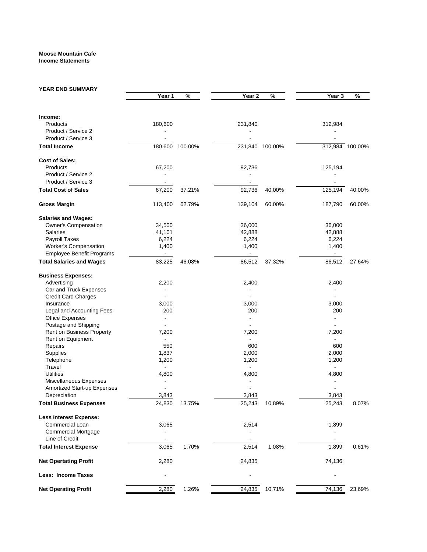#### **Moose Mountain Cafe Income Statements**

#### **YEAR END SUMMARY**

|                                    | Year 1                   | %               | Year 2         | %               | Year 3          | %      |
|------------------------------------|--------------------------|-----------------|----------------|-----------------|-----------------|--------|
|                                    |                          |                 |                |                 |                 |        |
| Income:                            |                          |                 |                |                 |                 |        |
| Products                           | 180,600                  |                 | 231,840        |                 | 312,984         |        |
| Product / Service 2                |                          |                 |                |                 |                 |        |
| Product / Service 3                |                          |                 |                |                 |                 |        |
| <b>Total Income</b>                |                          | 180,600 100.00% |                | 231,840 100.00% | 312,984 100.00% |        |
|                                    |                          |                 |                |                 |                 |        |
| <b>Cost of Sales:</b>              |                          |                 |                |                 |                 |        |
| Products                           | 67,200                   |                 | 92,736         |                 | 125,194         |        |
| Product / Service 2                |                          |                 |                |                 |                 |        |
| Product / Service 3                |                          |                 | $\blacksquare$ |                 |                 |        |
| <b>Total Cost of Sales</b>         | 67,200                   | 37.21%          | 92,736         | 40.00%          | 125,194         | 40.00% |
| <b>Gross Margin</b>                | 113,400                  | 62.79%          | 139,104        | 60.00%          | 187,790         | 60.00% |
| <b>Salaries and Wages:</b>         |                          |                 |                |                 |                 |        |
| <b>Owner's Compensation</b>        | 34,500                   |                 | 36,000         |                 | 36,000          |        |
| <b>Salaries</b>                    | 41,101                   |                 | 42,888         |                 | 42,888          |        |
| Payroll Taxes                      | 6,224                    |                 | 6,224          |                 | 6,224           |        |
| Worker's Compensation              | 1,400                    |                 | 1,400          |                 | 1,400           |        |
| <b>Employee Benefit Programs</b>   | $\sim$                   |                 | $\sim$         |                 | $\blacksquare$  |        |
| <b>Total Salaries and Wages</b>    | 83,225                   | 46.08%          | 86,512         | 37.32%          | 86,512          | 27.64% |
| <b>Business Expenses:</b>          |                          |                 |                |                 |                 |        |
| Advertising                        | 2,200                    |                 | 2,400          |                 | 2,400           |        |
| Car and Truck Expenses             |                          |                 |                |                 |                 |        |
| <b>Credit Card Charges</b>         |                          |                 |                |                 |                 |        |
| Insurance                          | 3,000                    |                 | 3,000          |                 | 3,000           |        |
| Legal and Accounting Fees          | 200                      |                 | 200            |                 | 200             |        |
| <b>Office Expenses</b>             | $\blacksquare$           |                 | $\blacksquare$ |                 | $\blacksquare$  |        |
| Postage and Shipping               |                          |                 |                |                 |                 |        |
| Rent on Business Property          | 7,200                    |                 | 7,200          |                 | 7,200           |        |
| Rent on Equipment                  | $\blacksquare$           |                 | $\blacksquare$ |                 | $\blacksquare$  |        |
| Repairs                            | 550                      |                 | 600            |                 | 600             |        |
| Supplies                           | 1,837                    |                 | 2,000          |                 | 2,000           |        |
| Telephone                          | 1,200                    |                 | 1,200          |                 | 1,200           |        |
| Travel                             | $\blacksquare$           |                 |                |                 | $\mathbf{r}$    |        |
| Utilities                          | 4,800                    |                 | 4,800          |                 | 4,800           |        |
| Miscellaneous Expenses             | $\overline{\phantom{a}}$ |                 |                |                 |                 |        |
| <b>Amortized Start-up Expenses</b> |                          |                 |                |                 |                 |        |
| Depreciation                       | 3,843                    |                 | 3,843          |                 | 3,843           |        |
| <b>Total Business Expenses</b>     | 24,830                   | 13.75%          | 25,243         | 10.89%          | 25,243          | 8.07%  |
| <b>Less Interest Expense:</b>      |                          |                 |                |                 |                 |        |
| <b>Commercial Loan</b>             | 3,065                    |                 | 2,514          |                 | 1,899           |        |
| <b>Commercial Mortgage</b>         |                          |                 |                |                 |                 |        |
| Line of Credit                     | $\overline{\phantom{a}}$ |                 | $\sim$         |                 | $\blacksquare$  |        |
| <b>Total Interest Expense</b>      | 3,065                    | 1.70%           | 2,514          | 1.08%           | 1,899           | 0.61%  |
| <b>Net Opertating Profit</b>       | 2,280                    |                 | 24,835         |                 | 74,136          |        |
| <b>Less: Income Taxes</b>          |                          |                 |                |                 |                 |        |
| <b>Net Operating Profit</b>        | 2,280                    | 1.26%           | 24,835         | 10.71%          | 74,136          | 23.69% |
|                                    |                          |                 |                |                 |                 |        |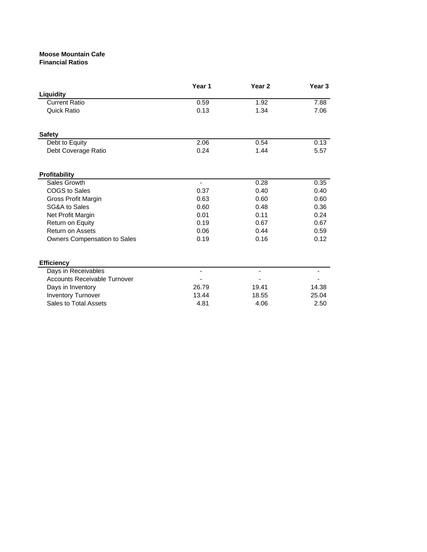#### **Moose Mountain Cafe Financial Ratios**

|                                     | Year 1                       | Year <sub>2</sub>        | Year 3                       |
|-------------------------------------|------------------------------|--------------------------|------------------------------|
| Liquidity                           |                              |                          |                              |
| <b>Current Ratio</b>                | 0.59                         | 1.92                     | 7.88                         |
| <b>Quick Ratio</b>                  | 0.13                         | 1.34                     | 7.06                         |
| <b>Safety</b>                       |                              |                          |                              |
| Debt to Equity                      | 2.06                         | 0.54                     | 0.13                         |
| Debt Coverage Ratio                 | 0.24                         | 1.44                     | 5.57                         |
| Profitability                       |                              |                          |                              |
| Sales Growth                        | $\qquad \qquad \blacksquare$ | 0.28                     | 0.35                         |
| COGS to Sales                       | 0.37                         | 0.40                     | 0.40                         |
| Gross Profit Margin                 | 0.63                         | 0.60                     | 0.60                         |
| SG&A to Sales                       | 0.60                         | 0.48                     | 0.36                         |
| Net Profit Margin                   | 0.01                         | 0.11                     | 0.24                         |
| Return on Equity                    | 0.19                         | 0.67                     | 0.67                         |
| <b>Return on Assets</b>             | 0.06                         | 0.44                     | 0.59                         |
| Owners Compensation to Sales        | 0.19                         | 0.16                     | 0.12                         |
| <b>Efficiency</b>                   |                              |                          |                              |
| Days in Receivables                 | -                            | $\overline{\phantom{a}}$ | $\qquad \qquad \blacksquare$ |
| <b>Accounts Receivable Turnover</b> |                              |                          |                              |
| Days in Inventory                   | 26.79                        | 19.41                    | 14.38                        |
| <b>Inventory Turnover</b>           | 13.44                        | 18.55                    | 25.04                        |
| Sales to Total Assets               | 4.81                         | 4.06                     | 2.50                         |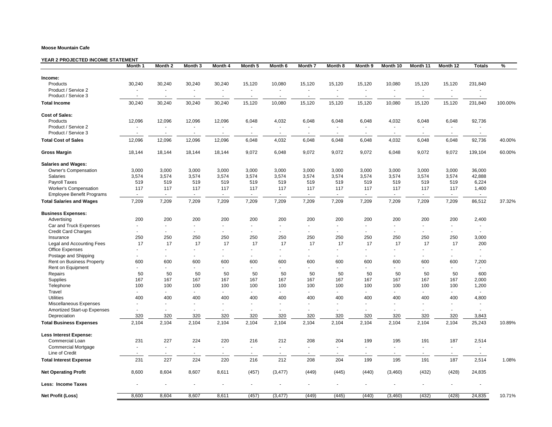#### **YEAR 2 PROJECTED INCOME STATEMENT**

|                                    | Month 1                  | Month 2                  | Month 3                  | Month 4 | Month 5                  | Month 6  | Month 7 | Month 8                  | Month 9        | Month 10                 | Month 11       | Month 12                 | <b>Totals</b>            | %       |
|------------------------------------|--------------------------|--------------------------|--------------------------|---------|--------------------------|----------|---------|--------------------------|----------------|--------------------------|----------------|--------------------------|--------------------------|---------|
| Income:                            |                          |                          |                          |         |                          |          |         |                          |                |                          |                |                          |                          |         |
| Products                           | 30,240                   | 30,240                   | 30,240                   | 30,240  | 15,120                   | 10,080   | 15,120  | 15,120                   | 15,120         | 10,080                   | 15,120         | 15,120                   | 231,840                  |         |
| Product / Service 2                | $\blacksquare$           | $\sim$                   | $\overline{\phantom{a}}$ |         | $\overline{\phantom{a}}$ | $\sim$   | $\sim$  |                          | $\sim$         | $\blacksquare$           | $\blacksquare$ | $\overline{\phantom{a}}$ |                          |         |
| Product / Service 3                | $\sim$                   |                          | $\sim$                   |         |                          |          | ÷.      |                          | $\sim$         |                          | $\blacksquare$ | $\overline{\phantom{a}}$ | $\blacksquare$           |         |
| <b>Total Income</b>                | 30,240                   | 30,240                   | 30,240                   | 30,240  | 15,120                   | 10,080   | 15,120  | 15,120                   | 15,120         | 10,080                   | 15,120         | 15,120                   | 231,840                  | 100.00% |
| <b>Cost of Sales:</b>              |                          |                          |                          |         |                          |          |         |                          |                |                          |                |                          |                          |         |
| Products                           | 12,096                   | 12,096                   | 12,096                   | 12,096  | 6,048                    | 4,032    | 6,048   | 6,048                    | 6,048          | 4,032                    | 6,048          | 6,048                    | 92,736                   |         |
| Product / Service 2                | $\overline{\phantom{a}}$ | $\sim$                   | $\overline{a}$           |         | - 1                      | $\sim$   |         |                          | $\sim$         | $\sim$                   | $\sim$         | $\sim$                   | $\sim$                   |         |
| Product / Service 3                | $\overline{\phantom{a}}$ | $\sim$                   | $\blacksquare$           |         |                          |          |         |                          |                |                          |                | $\blacksquare$           | $\blacksquare$           |         |
| <b>Total Cost of Sales</b>         | 12,096                   | 12,096                   | 12,096                   | 12,096  | 6,048                    | 4,032    | 6,048   | 6,048                    | 6,048          | 4,032                    | 6,048          | 6,048                    | 92,736                   | 40.00%  |
| <b>Gross Margin</b>                | 18,144                   | 18,144                   | 18,144                   | 18,144  | 9,072                    | 6,048    | 9,072   | 9,072                    | 9,072          | 6,048                    | 9,072          | 9,072                    | 139,104                  | 60.00%  |
| <b>Salaries and Wages:</b>         |                          |                          |                          |         |                          |          |         |                          |                |                          |                |                          |                          |         |
| <b>Owner's Compensation</b>        | 3,000                    | 3,000                    | 3,000                    | 3,000   | 3.000                    | 3,000    | 3,000   | 3,000                    | 3.000          | 3.000                    | 3,000          | 3.000                    | 36.000                   |         |
| Salaries                           | 3,574                    | 3,574                    | 3,574                    | 3,574   | 3,574                    | 3,574    | 3,574   | 3,574                    | 3,574          | 3,574                    | 3,574          | 3,574                    | 42,888                   |         |
| Payroll Taxes                      | 519                      | 519                      | 519                      | 519     | 519                      | 519      | 519     | 519                      | 519            | 519                      | 519            | 519                      | 6,224                    |         |
| Worker's Compensation              | 117                      | 117                      | 117                      | 117     | 117                      | 117      | 117     | 117                      | 117            | 117                      | 117            | 117                      | 1,400                    |         |
| <b>Employee Benefit Programs</b>   | $\overline{\phantom{a}}$ | $\sim$                   | $\overline{\phantom{a}}$ |         | $\sim$                   |          |         |                          | $\sim$         | $\overline{\phantom{a}}$ |                | $\sim$                   | $\sim$                   |         |
|                                    |                          |                          |                          |         |                          |          |         |                          |                |                          |                |                          |                          |         |
| <b>Total Salaries and Wages</b>    | 7,209                    | 7,209                    | 7,209                    | 7,209   | 7,209                    | 7,209    | 7,209   | 7,209                    | 7,209          | 7,209                    | 7,209          | 7,209                    | 86,512                   | 37.32%  |
| <b>Business Expenses:</b>          |                          |                          |                          |         |                          |          |         |                          |                |                          |                |                          |                          |         |
| Advertising                        | 200                      | 200                      | 200                      | 200     | 200                      | 200      | 200     | 200                      | 200            | 200                      | 200            | 200                      | 2,400                    |         |
| Car and Truck Expenses             | $\mathbf{r}$             | $\sim$                   |                          |         |                          |          |         |                          |                |                          |                |                          | $\overline{\phantom{a}}$ |         |
| <b>Credit Card Charges</b>         | $\sim$                   | ÷.                       | ×.                       |         | ÷.                       | $\sim$   | $\sim$  | $\overline{\phantom{a}}$ | $\sim$         | $\overline{\phantom{a}}$ | $\sim$         | $\sim$                   | $\sim$                   |         |
| Insurance                          | 250                      | 250                      | 250                      | 250     | 250                      | 250      | 250     | 250                      | 250            | 250                      | 250            | 250                      | 3,000                    |         |
| Legal and Accounting Fees          | 17                       | 17                       | 17                       | 17      | 17                       | 17       | 17      | 17                       | 17             | 17                       | 17             | 17                       | 200                      |         |
| <b>Office Expenses</b>             |                          |                          |                          |         |                          |          |         |                          |                |                          |                |                          | ÷.                       |         |
| Postage and Shipping               | $\blacksquare$           | ٠                        | $\sim$                   |         | $\blacksquare$           |          |         |                          | $\sim$         |                          | $\sim$         | $\blacksquare$           | $\blacksquare$           |         |
| <b>Rent on Business Property</b>   | 600                      | 600                      | 600                      | 600     | 600                      | 600      | 600     | 600                      | 600            | 600                      | 600            | 600                      | 7,200                    |         |
| Rent on Equipment                  | ÷.                       | ×.                       | ÷.                       |         | ÷.                       |          | $\sim$  |                          | $\sim$         |                          | $\sim$         | ÷.                       | $\sim$                   |         |
| Repairs                            | 50                       | 50                       | 50                       | 50      | 50                       | 50       | 50      | 50                       | 50             | 50                       | 50             | 50                       | 600                      |         |
| Supplies                           | 167                      | 167                      | 167                      | 167     | 167                      | 167      | 167     | 167                      | 167            | 167                      | 167            | 167                      | 2,000                    |         |
|                                    | 100                      | 100                      | 100                      | 100     | 100                      | 100      | 100     | 100                      | 100            | 100                      | 100            | 100                      | 1,200                    |         |
| Telephone                          |                          |                          |                          |         |                          |          |         |                          |                |                          |                |                          |                          |         |
| Travel                             | $\mathbf{r}$             | $\blacksquare$           | $\sim$                   | ä,      | $\sim$                   | $\sim$   | $\sim$  |                          | $\blacksquare$ | $\blacksquare$           | $\blacksquare$ | $\blacksquare$           | $\blacksquare$           |         |
| Utilities                          | 400                      | 400                      | 400                      | 400     | 400                      | 400      | 400     | 400                      | 400            | 400                      | 400            | 400                      | 4,800                    |         |
| Miscellaneous Expenses             |                          |                          |                          |         |                          |          |         |                          |                |                          |                |                          | $\sim$                   |         |
| <b>Amortized Start-up Expenses</b> | ä,                       |                          | $\overline{\phantom{a}}$ |         |                          |          |         |                          |                |                          |                | $\overline{\phantom{a}}$ | $\overline{\phantom{a}}$ |         |
| Depreciation                       | 320                      | 320                      | 320                      | 320     | 320                      | 320      | 320     | 320                      | 320            | 320                      | 320            | 320                      | 3,843                    |         |
| <b>Total Business Expenses</b>     | 2,104                    | 2,104                    | 2,104                    | 2,104   | 2,104                    | 2,104    | 2,104   | 2,104                    | 2,104          | 2,104                    | 2,104          | 2,104                    | 25,243                   | 10.89%  |
| <b>Less Interest Expense:</b>      |                          |                          |                          |         |                          |          |         |                          |                |                          |                |                          |                          |         |
| Commercial Loan                    | 231                      | 227                      | 224                      | 220     | 216                      | 212      | 208     | 204                      | 199            | 195                      | 191            | 187                      | 2,514                    |         |
| <b>Commercial Mortgage</b>         | $\blacksquare$           | $\overline{\phantom{a}}$ | $\blacksquare$           |         | $\sim$                   |          |         |                          |                |                          |                | $\overline{\phantom{a}}$ | $\blacksquare$           |         |
| Line of Credit                     |                          |                          |                          |         |                          |          |         |                          |                |                          |                |                          |                          |         |
| <b>Total Interest Expense</b>      | 231                      | 227                      | 224                      | 220     | 216                      | 212      | 208     | 204                      | 199            | 195                      | 191            | 187                      | 2,514                    | 1.08%   |
| <b>Net Operating Profit</b>        | 8,600                    | 8,604                    | 8,607                    | 8,611   | (457)                    | (3, 477) | (449)   | (445)                    | (440)          | (3,460)                  | (432)          | (428)                    | 24,835                   |         |
| Less: Income Taxes                 |                          |                          |                          |         |                          |          |         |                          |                |                          |                | $\overline{\phantom{a}}$ |                          |         |
| Net Profit (Loss)                  | 8,600                    | 8,604                    | 8,607                    | 8,611   | (457)                    | (3, 477) | (449)   | (445)                    | (440)          | (3,460)                  | (432)          | (428)                    | 24,835                   | 10.71%  |
|                                    |                          |                          |                          |         |                          |          |         |                          |                |                          |                |                          |                          |         |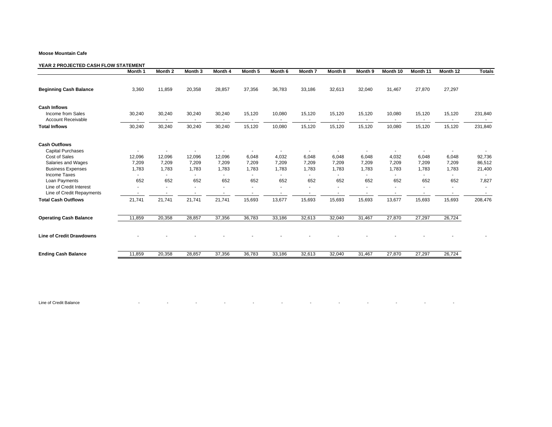**YEAR 2 PROJECTED CASH FLOW STATEMENT**

| YEAR 2 PROJECTED CASH FLOW STATEMENT           |                          |                    |                    |         |                          |                    |                          |         |                    |          |          |                |               |
|------------------------------------------------|--------------------------|--------------------|--------------------|---------|--------------------------|--------------------|--------------------------|---------|--------------------|----------|----------|----------------|---------------|
|                                                | Month 1                  | Month <sub>2</sub> | Month <sub>3</sub> | Month 4 | Month <sub>5</sub>       | Month <sub>6</sub> | Month 7                  | Month 8 | Month <sub>9</sub> | Month 10 | Month 11 | Month 12       | <b>Totals</b> |
| <b>Beginning Cash Balance</b>                  | 3,360                    | 11,859             | 20,358             | 28,857  | 37,356                   | 36,783             | 33,186                   | 32,613  | 32,040             | 31,467   | 27,870   | 27,297         |               |
|                                                |                          |                    |                    |         |                          |                    |                          |         |                    |          |          |                |               |
| <b>Cash Inflows</b>                            |                          |                    |                    |         |                          |                    |                          |         |                    |          |          |                |               |
| Income from Sales<br><b>Account Receivable</b> | 30,240                   | 30,240             | 30,240             | 30,240  | 15,120                   | 10,080             | 15,120                   | 15,120  | 15,120             | 10,080   | 15,120   | 15,120         | 231,840       |
| <b>Total Inflows</b>                           | 30,240                   | 30,240             | 30,240             | 30,240  | 15,120                   | 10,080             | 15,120                   | 15,120  | 15,120             | 10,080   | 15,120   | 15,120         | 231,840       |
| <b>Cash Outflows</b>                           |                          |                    |                    |         |                          |                    |                          |         |                    |          |          |                |               |
| <b>Capital Purchases</b>                       |                          |                    |                    |         |                          |                    |                          |         |                    |          |          |                |               |
| Cost of Sales                                  | 12,096                   | 12,096             | 12,096             | 12,096  | 6,048                    | 4,032              | 6,048                    | 6,048   | 6,048              | 4,032    | 6,048    | 6,048          | 92,736        |
| Salaries and Wages                             | 7,209                    | 7,209              | 7,209              | 7,209   | 7,209                    | 7,209              | 7,209                    | 7,209   | 7,209              | 7,209    | 7,209    | 7,209          | 86,512        |
| <b>Business Expenses</b>                       | 1,783                    | 1.783              | 1,783              | 1,783   | 1.783                    | 1,783              | 1,783                    | 1.783   | 1,783              | 1,783    | 1,783    | 1,783          | 21,400        |
| <b>Income Taxes</b>                            |                          | ×.                 |                    |         | $\overline{\phantom{a}}$ | $\sim$             | $\blacksquare$           |         | ٠                  |          |          | $\blacksquare$ |               |
| Loan Payments                                  | 652                      | 652                | 652                | 652     | 652                      | 652                | 652                      | 652     | 652                | 652      | 652      | 652            | 7,827         |
| Line of Credit Interest                        |                          |                    |                    |         |                          |                    |                          |         |                    |          |          |                |               |
| Line of Credit Repayments                      | $\overline{\phantom{a}}$ |                    |                    |         |                          |                    | $\overline{\phantom{a}}$ |         |                    |          |          |                |               |
| <b>Total Cash Outflows</b>                     | 21,741                   | 21,741             | 21,741             | 21,741  | 15,693                   | 13,677             | 15,693                   | 15,693  | 15,693             | 13,677   | 15,693   | 15,693         | 208,476       |
| <b>Operating Cash Balance</b>                  | 11,859                   | 20,358             | 28,857             | 37,356  | 36,783                   | 33,186             | 32,613                   | 32,040  | 31,467             | 27,870   | 27,297   | 26,724         |               |
|                                                |                          |                    |                    |         |                          |                    |                          |         |                    |          |          |                |               |
| <b>Line of Credit Drawdowns</b>                |                          |                    |                    |         |                          |                    |                          |         |                    |          |          |                |               |
| <b>Ending Cash Balance</b>                     | 11,859                   | 20,358             | 28,857             | 37,356  | 36,783                   | 33,186             | 32,613                   | 32,040  | 31,467             | 27,870   | 27,297   | 26,724         |               |

Line of Credit Balance and the set of the set of the set of the set of the set of the set of the set of the set of the set of the set of the set of the set of the set of the set of the set of the set of the set of the set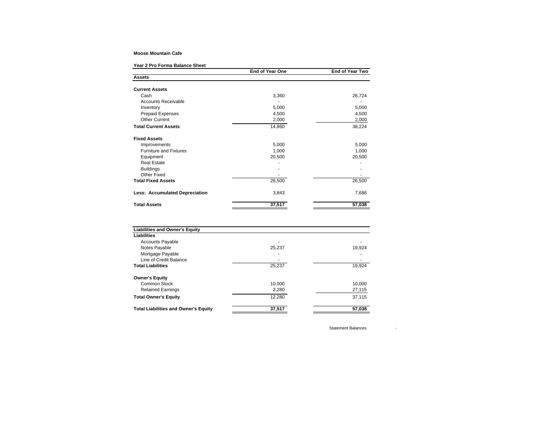**Year 2 Pro Forma Balance Sheet**

| <b>End of Year One</b> | <b>End of Year Two</b> |  |  |
|------------------------|------------------------|--|--|
|                        |                        |  |  |
|                        |                        |  |  |
| 3,360                  | 26,724                 |  |  |
|                        |                        |  |  |
| 5,000                  | 5,000                  |  |  |
| 4,500                  | 4,500                  |  |  |
| 2,000                  | 2,000                  |  |  |
| 14,860                 | 38,224                 |  |  |
|                        |                        |  |  |
| 5,000                  | 5,000                  |  |  |
| 1,000                  | 1,000                  |  |  |
| 20,500                 | 20,500                 |  |  |
|                        |                        |  |  |
|                        |                        |  |  |
|                        |                        |  |  |
| 26,500                 | 26,500                 |  |  |
| 3,843                  | 7,686                  |  |  |
| 37,517                 | 57,038                 |  |  |
|                        |                        |  |  |

| <b>Liabilities and Owner's Equity</b>       |        |        |
|---------------------------------------------|--------|--------|
| <b>Liabilities</b>                          |        |        |
| <b>Accounts Payable</b>                     |        |        |
| Notes Payable                               | 25,237 | 19,924 |
| Mortgage Payable                            |        |        |
| Line of Credit Balance                      |        |        |
| <b>Total Liabilities</b>                    | 25,237 | 19,924 |
| <b>Owner's Equity</b>                       |        |        |
| Common Stock                                | 10,000 | 10,000 |
| <b>Retained Earnings</b>                    | 2,280  | 27,115 |
| <b>Total Owner's Equity</b>                 | 12,280 | 37,115 |
| <b>Total Liabilities and Owner's Equity</b> | 37,517 | 57,038 |

Statement Balances -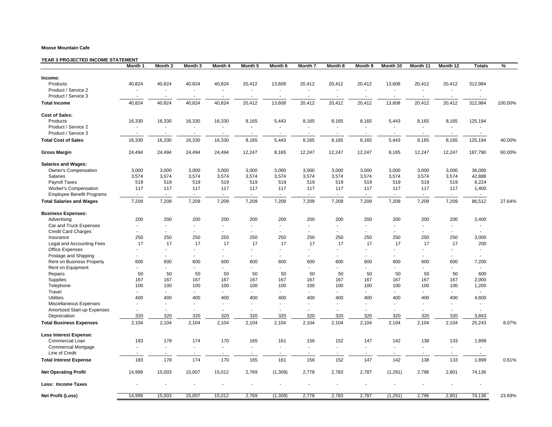#### **YEAR 3 PROJECTED INCOME STATEMENT**

|                                                | Month 1                  | Month 2 | Month 3                  | Month 4 | Month 5                  | Month 6                  | Month 7        | Month 8                  | Month 9 | Month 10                 | Month 11                 | Month 12                 | <b>Totals</b>   | %       |
|------------------------------------------------|--------------------------|---------|--------------------------|---------|--------------------------|--------------------------|----------------|--------------------------|---------|--------------------------|--------------------------|--------------------------|-----------------|---------|
| Income:                                        |                          |         |                          |         |                          |                          |                |                          |         |                          |                          |                          |                 |         |
| Products                                       | 40,824                   | 40,824  | 40,824                   | 40,824  | 20,412                   | 13,608                   | 20,412         | 20,412                   | 20,412  | 13,608                   | 20,412                   | 20,412                   | 312,984         |         |
| Product / Service 2                            | ä,                       | ÷.      | $\blacksquare$           |         |                          | $\overline{\phantom{a}}$ | ÷,             |                          | ÷,      | $\blacksquare$           | $\overline{\phantom{a}}$ |                          |                 |         |
|                                                |                          |         |                          |         | $\overline{\phantom{a}}$ |                          | $\sim$         |                          |         |                          |                          |                          |                 |         |
| Product / Service 3                            |                          |         |                          |         |                          |                          |                |                          |         |                          |                          |                          |                 |         |
| <b>Total Income</b>                            | 40,824                   | 40,824  | 40,824                   | 40,824  | 20,412                   | 13,608                   | 20,412         | 20,412                   | 20,412  | 13,608                   | 20,412                   | 20,412                   | 312,984         | 100.00% |
| <b>Cost of Sales:</b>                          |                          |         |                          |         |                          |                          |                |                          |         |                          |                          |                          |                 |         |
| Products                                       | 16,330                   | 16,330  | 16,330                   | 16,330  | 8,165                    | 5,443                    | 8,165          | 8,165                    | 8,165   | 5,443                    | 8,165                    | 8,165                    | 125,194         |         |
| Product / Service 2                            | ÷,                       | ÷.      | $\sim$                   |         | $\blacksquare$           | $\overline{\phantom{a}}$ | $\sim$         | ÷,                       | ÷,      | $\overline{\phantom{a}}$ | ä,                       | ÷.                       | $\sim$          |         |
| Product / Service 3                            | $\overline{\phantom{a}}$ | $\sim$  | $\blacksquare$           |         | $\blacksquare$           |                          | $\blacksquare$ |                          |         |                          |                          |                          |                 |         |
| <b>Total Cost of Sales</b>                     | 16,330                   | 16,330  | 16,330                   | 16,330  | 8,165                    | 5,443                    | 8,165          | 8,165                    | 8,165   | 5,443                    | 8,165                    | 8,165                    | 125,194         | 40.00%  |
| <b>Gross Margin</b>                            | 24,494                   | 24,494  | 24,494                   | 24,494  | 12,247                   | 8,165                    | 12,247         | 12,247                   | 12,247  | 8,165                    | 12,247                   | 12,247                   | 187,790         | 60.00%  |
| <b>Salaries and Wages:</b>                     |                          |         |                          |         |                          |                          |                |                          |         |                          |                          |                          |                 |         |
| <b>Owner's Compensation</b>                    | 3,000                    | 3,000   | 3,000                    | 3,000   | 3,000                    | 3,000                    | 3,000          | 3,000                    | 3,000   | 3,000                    | 3,000                    | 3,000                    | 36,000          |         |
|                                                |                          |         |                          |         |                          |                          |                |                          |         |                          |                          |                          |                 |         |
| Salaries                                       | 3,574                    | 3,574   | 3,574                    | 3,574   | 3,574                    | 3,574                    | 3,574          | 3,574                    | 3,574   | 3,574                    | 3,574                    | 3,574                    | 42,888          |         |
| Payroll Taxes                                  | 519                      | 519     | 519                      | 519     | 519                      | 519                      | 519            | 519                      | 519     | 519                      | 519                      | 519                      | 6,224           |         |
| <b>Worker's Compensation</b>                   | 117                      | 117     | 117                      | 117     | 117                      | 117                      | 117            | 117                      | 117     | 117                      | 117                      | 117                      | 1,400           |         |
| <b>Employee Benefit Programs</b>               | $\overline{\phantom{a}}$ | $\sim$  | $\overline{\phantom{a}}$ |         | $\sim$                   | $\sim$                   | $\sim$         | $\overline{\phantom{a}}$ | $\sim$  | $\blacksquare$           |                          | $\overline{\phantom{a}}$ | $\sim$          |         |
| <b>Total Salaries and Wages</b>                | 7,209                    | 7,209   | 7,209                    | 7,209   | 7,209                    | 7,209                    | 7,209          | 7,209                    | 7,209   | 7,209                    | 7,209                    | 7,209                    | 86,512          | 27.64%  |
| <b>Business Expenses:</b>                      |                          |         |                          |         |                          |                          |                |                          |         |                          |                          |                          |                 |         |
| Advertising                                    | 200                      | 200     | 200                      | 200     | 200                      | 200                      | 200            | 200                      | 200     | 200                      | 200                      | 200                      | 2,400           |         |
| Car and Truck Expenses                         | ÷.                       | ÷       | $\sim$                   |         | $\sim$                   | $\sim$                   | $\sim$         | $\overline{a}$           | ÷.      | $\overline{a}$           | ÷.                       | $\overline{\phantom{a}}$ | $\sim$          |         |
| <b>Credit Card Charges</b>                     | $\sim$                   | $\sim$  | $\sim$                   |         | $\overline{\phantom{a}}$ | $\sim$                   | $\sim$         | $\sim$                   | $\sim$  | $\sim$                   | $\sim$                   | $\mathbf{r}$             | $\sim$          |         |
| Insurance                                      | 250                      | 250     | 250                      | 250     | 250                      | 250                      | 250            | 250                      | 250     | 250                      | 250                      | 250                      | 3,000           |         |
| Legal and Accounting Fees                      | 17                       | 17      | 17                       | 17      | 17                       | 17                       | 17             | 17                       | 17      | 17                       | 17                       | 17                       | 200             |         |
| <b>Office Expenses</b>                         | ÷.                       | ÷.      | $\sim$                   |         | $\sim$                   | $\sim$                   | $\sim$         | ÷.                       | $\sim$  | ÷                        | ÷.                       | ÷                        | $\sim$          |         |
| Postage and Shipping                           | ä,                       |         |                          |         |                          |                          |                |                          |         |                          |                          |                          |                 |         |
| Rent on Business Property                      | 600                      | 600     | 600                      | 600     | 600                      | 600                      | 600            | 600                      | 600     | 600                      | 600                      | 600                      | 7,200           |         |
| Rent on Equipment                              |                          |         | ÷.                       |         |                          | $\sim$                   | $\sim$         | $\sim$                   | $\sim$  | ÷                        | ÷.                       | $\mathbf{r}$             |                 |         |
| Repairs                                        | 50                       | 50      | 50                       | 50      | 50                       | 50                       | 50             | 50                       | 50      | 50                       | 50                       | 50                       | 600             |         |
| Supplies                                       | 167                      | 167     | 167                      | 167     | 167                      | 167                      | 167            | 167                      | 167     | 167                      | 167                      | 167                      | 2,000           |         |
| Telephone                                      | 100                      | 100     | 100                      | 100     | 100                      | 100                      | 100            | 100                      | 100     | 100                      | 100                      | 100                      | 1,200           |         |
| Travel                                         | $\sim$                   |         |                          |         | $\sim$                   | ×.                       | $\sim$         | ÷.                       | ÷.      | ä,                       |                          |                          |                 |         |
| <b>Utilities</b>                               | 400                      | 400     | 400                      | 400     | 400                      | 400                      | 400            | 400                      | 400     | 400                      | 400                      | 400                      | 4,800           |         |
|                                                |                          |         |                          |         |                          |                          |                |                          |         |                          |                          |                          |                 |         |
| Miscellaneous Expenses                         | ÷.                       |         |                          |         |                          |                          | ÷.             |                          | ÷       |                          |                          |                          |                 |         |
| Amortized Start-up Expenses                    | 320                      | 320     | 320                      | 320     | 320                      | 320                      | 320            | 320                      | 320     | 320                      | 320                      | 320                      |                 |         |
| Depreciation<br><b>Total Business Expenses</b> | 2,104                    | 2,104   | 2,104                    | 2,104   | 2,104                    | 2,104                    | 2,104          | 2,104                    | 2,104   | 2,104                    | 2,104                    | 2,104                    | 3,843<br>25,243 | 8.07%   |
|                                                |                          |         |                          |         |                          |                          |                |                          |         |                          |                          |                          |                 |         |
| <b>Less Interest Expense:</b>                  |                          |         |                          |         |                          |                          |                |                          |         |                          |                          |                          |                 |         |
| Commercial Loan                                | 183                      | 178     | 174                      | 170     | 165                      | 161                      | 156            | 152                      | 147     | 142                      | 138                      | 133                      | 1,899           |         |
| <b>Commercial Mortgage</b>                     | ÷                        | ×.      | $\sim$                   |         | $\sim$                   | $\sim$                   | $\sim$         | ×                        | ÷.      | $\overline{a}$           | ÷.                       | $\mathbf{r}$             | $\sim$          |         |
| Line of Credit                                 | $\blacksquare$           |         |                          |         | $\overline{\phantom{a}}$ |                          | $\sim$         |                          | $\sim$  |                          |                          |                          |                 |         |
| <b>Total Interest Expense</b>                  | 183                      | 178     | 174                      | 170     | 165                      | 161                      | 156            | 152                      | 147     | 142                      | 138                      | 133                      | 1,899           | 0.61%   |
| <b>Net Operating Profit</b>                    | 14,999                   | 15,003  | 15,007                   | 15,012  | 2,769                    | (1, 309)                 | 2,778          | 2,783                    | 2,787   | (1, 291)                 | 2,796                    | 2,801                    | 74,136          |         |
| Less: Income Taxes                             |                          |         |                          |         | $\overline{\phantom{a}}$ |                          |                | $\sim$                   | $\sim$  |                          |                          | $\overline{a}$           |                 |         |
| Net Profit (Loss)                              | 14,999                   | 15,003  | 15,007                   | 15,012  | 2,769                    | (1,309)                  | 2,778          | 2,783                    | 2,787   | (1, 291)                 | 2,796                    | 2,801                    | 74,136          | 23.69%  |
|                                                |                          |         |                          |         |                          |                          |                |                          |         |                          |                          |                          |                 |         |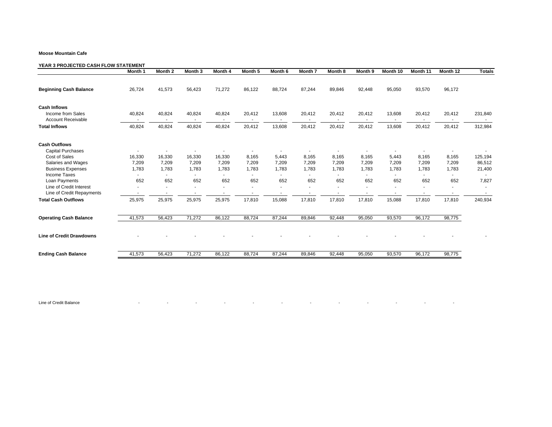**YEAR 3 PROJECTED CASH FLOW STATEMENT**

| YEAR 3 PROJECTED CASH FLOW STATEMENT           |                          |         |                    |         |                    |         |                |         |                    |          |          |                          |               |
|------------------------------------------------|--------------------------|---------|--------------------|---------|--------------------|---------|----------------|---------|--------------------|----------|----------|--------------------------|---------------|
|                                                | Month 1                  | Month 2 | Month <sub>3</sub> | Month 4 | Month <sub>5</sub> | Month 6 | Month 7        | Month 8 | Month <sub>9</sub> | Month 10 | Month 11 | Month 12                 | <b>Totals</b> |
|                                                |                          |         |                    |         |                    |         |                |         |                    |          |          |                          |               |
| <b>Beginning Cash Balance</b>                  | 26,724                   | 41,573  | 56,423             | 71,272  | 86,122             | 88,724  | 87,244         | 89,846  | 92,448             | 95,050   | 93,570   | 96,172                   |               |
| <b>Cash Inflows</b>                            |                          |         |                    |         |                    |         |                |         |                    |          |          |                          |               |
| Income from Sales<br><b>Account Receivable</b> | 40,824                   | 40,824  | 40,824             | 40,824  | 20,412             | 13,608  | 20,412         | 20,412  | 20,412             | 13,608   | 20,412   | 20,412                   | 231,840       |
| <b>Total Inflows</b>                           | 40,824                   | 40,824  | 40,824             | 40,824  | 20,412             | 13,608  | 20,412         | 20,412  | 20,412             | 13,608   | 20,412   | 20,412                   | 312,984       |
| <b>Cash Outflows</b>                           |                          |         |                    |         |                    |         |                |         |                    |          |          |                          |               |
| <b>Capital Purchases</b>                       |                          |         |                    |         |                    |         |                |         |                    |          |          |                          |               |
| <b>Cost of Sales</b>                           | 16,330                   | 16,330  | 16,330             | 16,330  | 8,165              | 5,443   | 8,165          | 8,165   | 8,165              | 5,443    | 8,165    | 8,165                    | 125,194       |
| Salaries and Wages                             | 7,209                    | 7,209   | 7,209              | 7,209   | 7,209              | 7,209   | 7,209          | 7,209   | 7,209              | 7,209    | 7,209    | 7,209                    | 86,512        |
| <b>Business Expenses</b>                       | 1,783                    | 1.783   | 1,783              | 1,783   | 1.783              | 1,783   | 1,783          | 1,783   | 1,783              | 1,783    | 1.783    | 1,783                    | 21,400        |
| <b>Income Taxes</b>                            |                          |         | $\mathbf{r}$       | $\sim$  | ٠                  |         | ٠              |         | ٠                  |          |          | $\overline{\phantom{a}}$ |               |
| Loan Payments                                  | 652                      | 652     | 652                | 652     | 652                | 652     | 652            | 652     | 652                | 652      | 652      | 652                      | 7,827         |
| Line of Credit Interest                        |                          |         |                    |         |                    |         |                |         |                    |          |          |                          |               |
| Line of Credit Repayments                      | $\overline{\phantom{a}}$ |         |                    | $\sim$  |                    |         | $\blacksquare$ |         |                    |          |          |                          |               |
| <b>Total Cash Outflows</b>                     | 25,975                   | 25,975  | 25,975             | 25,975  | 17,810             | 15,088  | 17,810         | 17,810  | 17,810             | 15,088   | 17,810   | 17,810                   | 240,934       |
| <b>Operating Cash Balance</b>                  | 41,573                   | 56,423  | 71,272             | 86,122  | 88,724             | 87,244  | 89,846         | 92,448  | 95,050             | 93,570   | 96,172   | 98,775                   |               |
|                                                |                          |         |                    |         |                    |         |                |         |                    |          |          |                          |               |
| <b>Line of Credit Drawdowns</b>                |                          |         |                    |         |                    |         |                |         |                    |          |          |                          |               |
| <b>Ending Cash Balance</b>                     | 41,573                   | 56,423  | 71,272             | 86,122  | 88,724             | 87,244  | 89,846         | 92,448  | 95,050             | 93,570   | 96,172   | 98,775                   |               |

Line of Credit Balance and the set of the set of the set of the set of the set of the set of the set of the set of the set of the set of the set of the set of the set of the set of the set of the set of the set of the set